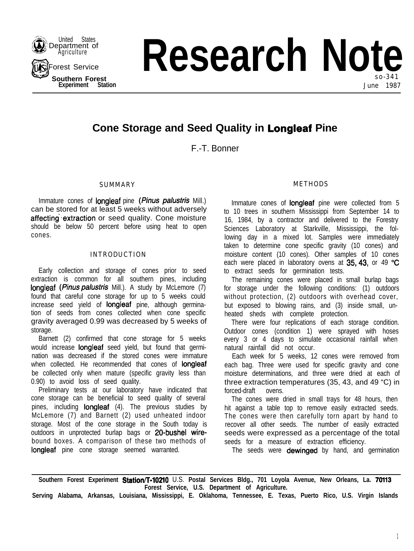

**Research Note** so-341 **Experiment Station Station Station Station Station Station June 1987** 

# **Cone Storage and Seed Quality in Longleaf Pine**

F.-T. Bonner

## SUMMARY

Immature cones of **longleaf** pine (*Pinus palustris* Mill.) can be stored for at least 5 weeks without adversely affecting extraction or seed quality. Cone moisture should be below 50 percent before using heat to open cones.

## INTRODUCTION

Early collection and storage of cones prior to seed extraction is common for all southern pines, including **longleaf (Pinus palustris Mill.).** A study by McLemore (7) found that careful cone storage for up to 5 weeks could increase seed yield of longleaf pine, although germination of seeds from cones collected when cone specific gravity averaged 0.99 was decreased by 5 weeks of storage.

Barnett (2) confirmed that cone storage for 5 weeks would increase longleaf seed yield, but found that germination was decreased if the stored cones were immature when collected. He recommended that cones of **longleaf** be collected only when mature (specific gravity less than 0.90) to avoid loss of seed quality.

Preliminary tests at our laboratory have indicated that cone storage can be beneficial to seed quality of several pines, including **longleaf** (4). The previous studies by McLemore (7) and Barnett (2) used unheated indoor storage. Most of the cone storage in the South today is outdoors in unprotected burlap bags or 20-bushel wirebound boxes. A comparison of these two methods of longleaf pine cone storage seemed warranted.

## METHODS

Immature cones of **longleaf** pine were collected from 5 to 10 trees in southern Mississippi from September 14 to 16, 1984, by a contractor and delivered to the Forestry Sciences Laboratory at Starkville, Mississippi, the following day in a mixed lot. Samples were immediately taken to determine cone specific gravity (10 cones) and moisture content (10 cones). Other samples of 10 cones each were placed in laboratory ovens at 35, 43, or 49 °C to extract seeds for germination tests.

The remaining cones were placed in small burlap bags for storage under the following conditions: (1) outdoors without protection, (2) outdoors with overhead cover, but exposed to blowing rains, and (3) inside small, unheated sheds with complete protection.

There were four replications of each storage condition. Outdoor cones (condition 1) were sprayed with hoses every 3 or 4 days to simulate occasional rainfall when natural rainfall did not occur.

Each week for 5 weeks, 12 cones were removed from each bag. Three were used for specific gravity and cone moisture determinations, and three were dried at each of three extraction temperatures (35, 43, and 49 "C) in forced-draft ovens.

The cones were dried in small trays for 48 hours, then hit against a table top to remove easily extracted seeds. The cones were then carefully torn apart by hand to recover all other seeds. The number of easily extracted seeds were expressed as a percentage of the total seeds for a measure of extraction efficiency.

The seeds were **dewinged** by hand, and germination

**Southern Forest Experiment Stationfi-102lO** U.S. **Postal Services Bldg., 701 Loyola Avenue, New Orleans, La. 70113 Forest Service, U.S. Department of Agriculture.**

**Serving Alabama, Arkansas, Louisiana, Mississippi, E. Oklahoma, Tennessee, E. Texas, Puerto Rico, U.S. Virgin Islands**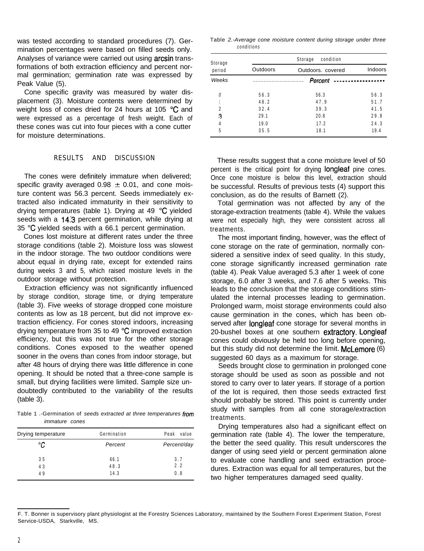was tested according to standard procedures (7). Germination percentages were based on filled seeds only. Analyses of variance were carried out using arcsin transformations of both extraction efficiency and percent normal germination; germination rate was expressed by Peak Value (5).

Cone specific gravity was measured by water displacement (3). Moisture contents were determined by weight loss of cones dried for 24 hours at 105 °C and were expressed as a percentage of fresh weight. Each of these cones was cut into four pieces with a cone cutter for moisture determinations.

#### RESULTS AND DISCUSSION

The cones were definitely immature when delivered; specific gravity averaged  $0.98 \pm 0.01$ , and cone moisture content was 56.3 percent. Seeds immediately extracted also indicated immaturity in their sensitivity to drying temperatures (table 1). Drying at 49 "C yielded seeds with a 14.3 percent germination, while drying at 35 "C yielded seeds with a 66.1 percent germination.

Cones lost moisture at different rates under the three storage conditions (table 2). Moisture loss was slowest in the indoor storage. The two outdoor conditions were about equal in drying rate, except for extended rains during weeks 3 and 5, which raised moisture levels in the outdoor storage without protection.

Extraction efficiency was not significantly influenced by storage condition, storage time, or drying temperature (table 3). Five weeks of storage dropped cone moisture contents as low as 18 percent, but did not improve extraction efficiency. For cones stored indoors, increasing drying temperature from 35 to 49 "C improved extraction efficiency, but this was not true for the other storage conditions. Cones exposed to the weather opened sooner in the ovens than cones from indoor storage, but after 48 hours of drying there was little difference in cone opening. It should be noted that a three-cone sample is small, but drying facilities were limited. Sample size undoubtedly contributed to the variability of the results (table 3).

Table 1 .-Germination of *seeds extracted at three temperatures from immature cones*

| Drying temperature | Germination | Peak<br>value |
|--------------------|-------------|---------------|
| °C                 | Percent     | Percent/day   |
| 35                 | 66.1        | 3.7           |
| 43                 | 48.3        | 2.2           |
| 49                 | 14.3        | 0.8           |

Table *2.-Average cone moisture content during storage under three conditions*

| Storage | condition<br>Storage |                   |      |  |  |  |
|---------|----------------------|-------------------|------|--|--|--|
| period  | <b>Outdoors</b>      | Outdoors, covered |      |  |  |  |
| Weeks   |                      | Percent           |      |  |  |  |
| 0       | 56.3                 | 56.3              | 56.3 |  |  |  |
|         | 48.2                 | 47.9              | 51.7 |  |  |  |
| 2       | 32.4                 | 39.3              | 41.5 |  |  |  |
| з       | 29.1                 | 20.8              | 29.8 |  |  |  |
| 4       | 19.0                 | 17.2              | 24.3 |  |  |  |
| 5       | 35.5                 | 18.1              | 19.4 |  |  |  |

These results suggest that a cone moisture level of 50 percent is the critical point for drying longleaf pine cones. Once cone moisture is below this level, extraction should be successful. Results of previous tests (4) support this conclusion, as do the results of Barnett (2).

Total germination was not affected by any of the storage-extraction treatments (table 4). While the values were not especially high, they were consistent across all treatments.

The most important finding, however, was the effect of cone storage on the rate of germination, normally considered a sensitive index of seed quality. In this study, cone storage significantly increased germination rate (table 4). Peak Value averaged 5.3 after 1 week of cone storage, 6.0 after 3 weeks, and 7.6 after 5 weeks. This leads to the conclusion that the storage conditions stimulated the internal processes leading to germination. Prolonged warm, moist storage environments could also cause germination in the cones, which has been observed after **longleaf** cone storage for several months in 20-bushel boxes at one southern extractory. Longleaf cones could obviously be held too long before opening, but this study did not determine the limit. McLemore (6) suggested 60 days as a maximum for storage.

Seeds brought close to germination in prolonged cone storage should be used as soon as possible and not stored to carry over to later years. If storage of a portion of the lot is required, then those seeds extracted first should probably be stored. This point is currently under study with samples from all cone storage/extraction treatments.

Drying temperatures also had a significant effect on germination rate (table 4). The lower the temperature, the better the seed quality. This result underscores the danger of using seed yield or percent germination alone to evaluate cone handling and seed extraction procedures. Extraction was equal for all temperatures, but the two higher temperatures damaged seed quality.

F. T. Bonner is supervisory plant physiologist at the Forestry Sciences Laboratory, maintained by the Southern Forest Experiment Station, Forest Service-USDA, Starkville, MS.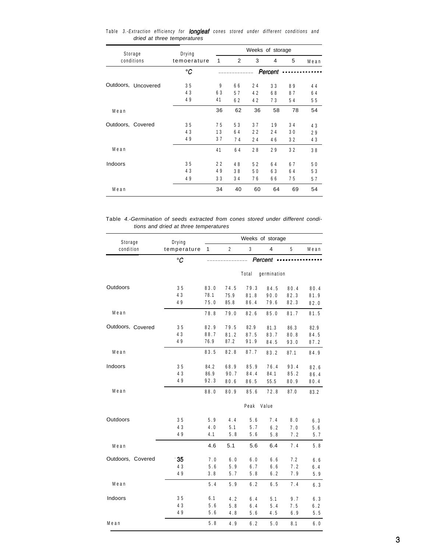| Storage             | Drying<br>temoerature | Weeks of storage |                |    |         |    |      |
|---------------------|-----------------------|------------------|----------------|----|---------|----|------|
| conditions          |                       | 1                | $\overline{2}$ | 3  | 4       | 5  | Mean |
|                     | °C                    |                  |                |    | Percent |    |      |
| Outdoors, Uncovered | 35                    | 9                | 66             | 24 | 33      | 89 | 44   |
|                     | 43                    | 63               | 57             | 42 | 68      | 87 | 64   |
|                     | 49                    | 41               | 62             | 42 | 73      | 54 | 55   |
| Mean                |                       | 36               | 62             | 36 | 58      | 78 | 54   |
| Outdoors, Covered   | 35                    | 75               | 53             | 37 | 19      | 34 | 43   |
|                     | 43                    | 13               | 64             | 22 | 24      | 30 | 29   |
|                     | 49                    | 37               | 74             | 24 | 46      | 32 | 43   |
| Mean                |                       | 41               | 64             | 28 | 29      | 32 | 38   |
| Indoors             | 35                    | 22               | 48             | 52 | 64      | 67 | 50   |
|                     | 43                    | 49               | 38             | 50 | 63      | 64 | 53   |
|                     | 49                    | 33               | 34             | 76 | 66      | 75 | 57   |
| Mean                |                       | 34               | 40             | 60 | 64      | 69 | 54   |

Table *3.-Extraction efficiency for longleaf cones stored under different conditions and dried at three temperatures*

Table *4.-Germination of seeds extracted from cones stored under different conditions and dried at three temperatures*

| Storage           | Drying      | Weeks of storage |                |               |             |      |      |  |
|-------------------|-------------|------------------|----------------|---------------|-------------|------|------|--|
| condition         | temperature | $\mathbf{1}$     | $\overline{2}$ | 3             | 4           | 5    | Mean |  |
|                   | °C          | Percent<br>$-$   |                |               |             |      |      |  |
|                   |             |                  |                | Total         | germination |      |      |  |
| Outdoors          | 35          | 83.0             | 74.5           | 79.3          | 84.5        | 80.4 | 80.4 |  |
|                   | 43          | 78.1             | 75.9           | 81.8          | 90.0        | 82.3 | 81.9 |  |
|                   | 49          | 75.0             | 85.8           | 86.4          | 79.6        | 82.3 | 82.0 |  |
| Mean              |             | 78.8             | 79.0           | 82.6          | 85.0        | 81.7 | 81.5 |  |
| Outdoors, Covered | 35          | 82.9             | 79.5           | 82.9          | 81.3        | 86.3 | 82.9 |  |
|                   | 43          | 88.7             | 81.2           | 87.5          | 83.7        | 80.8 | 84.5 |  |
|                   | 49          | 76.9             | 87.2           | 91.9          | 84.5        | 93.0 | 87.2 |  |
| Mean              |             | 83.5             | 82.8           | 87.7          | 83.2        | 87.1 | 84.9 |  |
| Indoors           | 35          | 84.2             | 68.9           | 85.9          | 76.4        | 93.4 | 82.6 |  |
|                   | 43          | 86.9             | 90.7           | 84.4          | 84.1        | 85.2 | 86.4 |  |
|                   | 49          | 92.3             | 80.6           | 86.5          | 55.5        | 80.9 | 80.4 |  |
| Mean              |             | 88.0             | 80.9           | 85.6          | 72.8        | 87.0 | 83.2 |  |
|                   |             |                  |                | Peak<br>Value |             |      |      |  |
| Outdoors          | 35          | 5.9              | 4.4            | 5.6           | 7.4         | 8.0  | 6.3  |  |
|                   | 43          | 4.0              | 5.1            | 5.7           | 6.2         | 7.0  | 5.6  |  |
|                   | 49          | 4.1              | 5.8            | 5.6           | 5.8         | 7.2  | 5.7  |  |
| Mean              |             | 4.6              | 5.1            | 5.6           | 6.4         | 7.4  | 5.8  |  |
| Outdoors, Covered | 35          | 7.0              | 6.0            | 6.0           | 6.6         | 7.2  | 6.6  |  |
|                   | 43          | 5.6              | 5.9            | 6.7           | 6.6         | 7.2  | 6.4  |  |
|                   | 49          | 3.8              | 5.7            | 5.8           | 6.2         | 7.9  | 5.9  |  |
| Mean              |             | 5.4              | 5.9            | 6.2           | 6.5         | 7.4  | 6.3  |  |
| Indoors           | 35          | 6.1              | 4.2            | 6.4           | 5.1         | 9.7  | 6.3  |  |
|                   | 43          | 5.6              | 5.8            | 6.4           | 5.4         | 7.5  | 6.2  |  |
|                   | 49          | 5.6              | 4.8            | $5.6$         | 4.5         | 6.9  | 5.5  |  |
| Mean              |             | 5.8              | 4.9            | 6.2           | 5.0         | 8.1  | 6.0  |  |